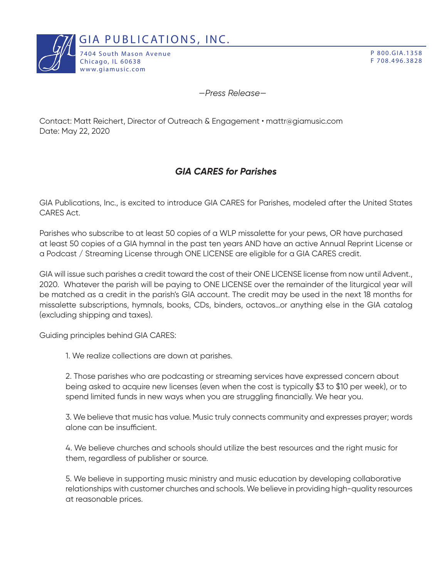

P 800.GIA.1358 F 708.496.3828

*—Press Release—*

Contact: Matt Reichert, Director of Outreach & Engagement • mattr@giamusic.com Date: May 22, 2020

## *GIA CARES for Parishes*

GIA Publications, Inc., is excited to introduce GIA CARES for Parishes, modeled after the United States CARES Act.

Parishes who subscribe to at least 50 copies of a WLP missalette for your pews, OR have purchased at least 50 copies of a GIA hymnal in the past ten years AND have an active Annual Reprint License or a Podcast / Streaming License through ONE LICENSE are eligible for a GIA CARES credit.

GIA will issue such parishes a credit toward the cost of their ONE LICENSE license from now until Advent., 2020. Whatever the parish will be paying to ONE LICENSE over the remainder of the liturgical year will be matched as a credit in the parish's GIA account. The credit may be used in the next 18 months for missalette subscriptions, hymnals, books, CDs, binders, octavos…or anything else in the GIA catalog (excluding shipping and taxes).

Guiding principles behind GIA CARES:

1. We realize collections are down at parishes.

2. Those parishes who are podcasting or streaming services have expressed concern about being asked to acquire new licenses (even when the cost is typically \$3 to \$10 per week), or to spend limited funds in new ways when you are struggling financially. We hear you.

3. We believe that music has value. Music truly connects community and expresses prayer; words alone can be insufficient.

4. We believe churches and schools should utilize the best resources and the right music for them, regardless of publisher or source.

5. We believe in supporting music ministry and music education by developing collaborative relationships with customer churches and schools. We believe in providing high-quality resources at reasonable prices.